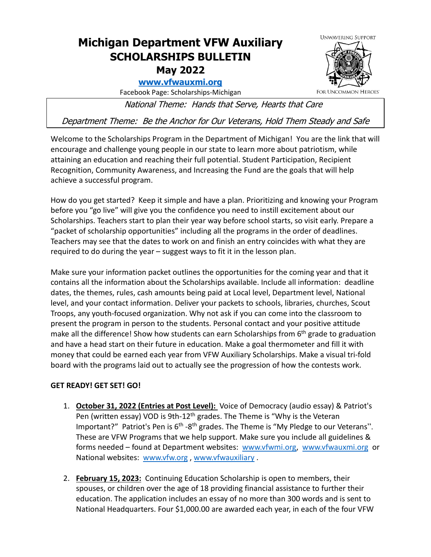## **Michigan Department VFW Auxiliary SCHOLARSHIPS BULLETIN May 2022**

## **[www.vfwauxmi.org](http://www.vfwauxmi.org/)**

Facebook Page: Scholarships-Michigan

National Theme: Hands that Serve, Hearts that Care

Department Theme: Be the Anchor for Our Veterans, Hold Them Steady and Safe

Welcome to the Scholarships Program in the Department of Michigan! You are the link that will encourage and challenge young people in our state to learn more about patriotism, while attaining an education and reaching their full potential. Student Participation, Recipient Recognition, Community Awareness, and Increasing the Fund are the goals that will help achieve a successful program.

How do you get started? Keep it simple and have a plan. Prioritizing and knowing your Program before you "go live" will give you the confidence you need to instill excitement about our Scholarships. Teachers start to plan their year way before school starts, so visit early. Prepare a "packet of scholarship opportunities" including all the programs in the order of deadlines. Teachers may see that the dates to work on and finish an entry coincides with what they are required to do during the year – suggest ways to fit it in the lesson plan.

Make sure your information packet outlines the opportunities for the coming year and that it contains all the information about the Scholarships available. Include all information: deadline dates, the themes, rules, cash amounts being paid at Local level, Department level, National level, and your contact information. Deliver your packets to schools, libraries, churches, Scout Troops, any youth-focused organization. Why not ask if you can come into the classroom to present the program in person to the students. Personal contact and your positive attitude make all the difference! Show how students can earn Scholarships from 6<sup>th</sup> grade to graduation and have a head start on their future in education. Make a goal thermometer and fill it with money that could be earned each year from VFW Auxiliary Scholarships. Make a visual tri-fold board with the programs laid out to actually see the progression of how the contests work.

## **GET READY! GET SET! GO!**

- 1. **October 31, 2022 (Entries at Post Level):** Voice of Democracy (audio essay) & Patriot's Pen (written essay) VOD is 9th-12<sup>th</sup> grades. The Theme is "Why is the Veteran Important?" Patriot's Pen is  $6<sup>th</sup> - 8<sup>th</sup>$  grades. The Theme is "My Pledge to our Veterans". These are VFW Programs that we help support. Make sure you include all guidelines & forms needed – found at Department websites: [www.vfwmi.org,](http://www.vfwmi.org/) [www.vfwauxmi.org](http://www.vfwauxmi.org/) or National websites: [www.vfw.org](http://www.vfw.org/) , [www.vfwauxiliary](http://www.vfwauxiliary/) .
- 2. **February 15, 2023:** Continuing Education Scholarship is open to members, their spouses, or children over the age of 18 providing financial assistance to further their education. The application includes an essay of no more than 300 words and is sent to National Headquarters. Four \$1,000.00 are awarded each year, in each of the four VFW



FOR UNCOMMON HEROES"